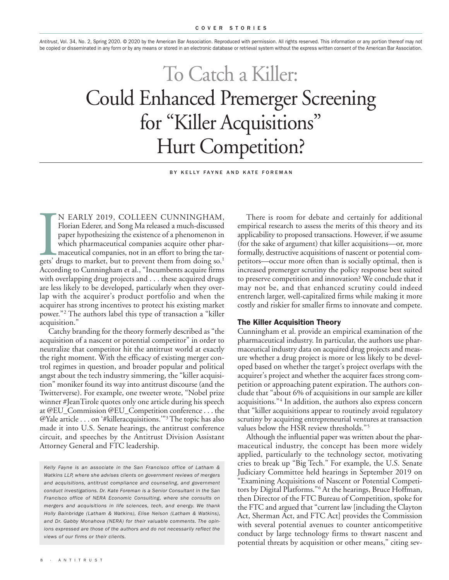*Antitrust*, Vol. 34, No. 2, Spring 2020. © 2020 by the American Bar Association. Reproduced with permission. All rights reserved. This information or any portion thereof may not be copied or disseminated in any form or by any means or stored in an electronic database or retrieval system without the express written consent of the American Bar Association.

# To Catch a Killer: Could Enhanced Premerger Screening for "Killer Acquisitions " Hurt Competition?

BY KELLY FAYNE AND KATE FOREMAN

N EARLY 2019, COLLEEN CUNNINGHAM,<br>Florian Ederer, and Song Ma released a much-discussed<br>paper hypothesizing the existence of a phenomenon in<br>which pharmaceutical companies acquire other phar-<br>maceutical companies, not in a N EARLY 2019, COLLEEN CUNNINGHAM, Florian Ederer, and Song Ma released a much-discussed paper hypothesizing the existence of a phenomenon in which pharmaceutical companies acquire other pharmaceutical companies, not in an effort to bring the tar-According to Cunningham et al., "Incumbents acquire firms with overlapping drug projects and . . . these acquired drugs are less likely to be developed, particularly when they overlap with the acquirer's product portfolio and when the acquirer has strong incentives to protect his existing market power."2 The authors label this type of transaction a "killer acquisition."

Catchy branding for the theory formerly described as "the acquisition of a nascent or potential competitor" in order to neutralize that competitor hit the antitrust world at exactly the right moment. With the efficacy of existing merger control regimes in question, and broader popular and political angst about the tech industry simmering, the "killer acquisition" moniker found its way into antitrust discourse (and the Twitterverse). For example, one tweeter wrote, "Nobel prize winner #JeanTirole quotes only one article during his speech at @EU\_Commission @EU\_Competition conference . . . the  $\mathcal{Q}$ Yale article . . . on '#killeracquisitions.'"<sup>3</sup> The topic has also made it into U.S. Senate hearings, the antitrust conference circuit, and speeches by the Antitrust Division Assistant Attorney General and FTC leadership.

*Kelly Fayne is an associate in the San Francisco office of Latham & Watkins LLP, where she advises clients on government reviews of mergers and acquisitions, antitrust compliance and counseling, and government conduct investigations. Dr. Kate Foreman is a Senior Consultant in the San Francisco office of NERA Economic Consulting, where she consults on mergers and acquisitions in life sciences, tech, and energy. We thank Holly Bainbridge (Latham & Watkins), Elise Nelson (Latham & Watkins), and Dr. Gabby Monahova (NERA) for their valuable comments. The opinions expressed are those of the authors and do not necessarily reflect the views of our firms or their clients.*

There is room for debate and certainly for additional empirical research to assess the merits of this theory and its applicability to proposed transactions. However, if we assume (for the sake of argument) that killer acquisitions—or, more formally, destructive acquisitions of nascent or potential competitors—occur more often than is socially optimal, then is increased premerger scrutiny the policy response best suited to preserve competition and innovation? We conclude that it may not be, and that enhanced scrutiny could indeed entrench larger, well-capitalized firms while making it more costly and riskier for smaller firms to innovate and compete.

#### **The Killer Acquisition Theory**

Cunningham et al. provide an empirical examination of the pharmaceutical industry. In particular, the authors use pharmaceutical industry data on acquired drug projects and measure whether a drug project is more or less likely to be developed based on whether the target's project overlaps with the acquirer's project and whether the acquirer faces strong competition or approaching patent expiration. The authors conclude that "about 6% of acquisitions in our sample are killer acquisitions."4 In addition, the authors also express concern that "killer acquisitions appear to routinely avoid regulatory scrutiny by acquiring entrepreneurial ventures at transaction values below the HSR review thresholds."<sup>5</sup>

Although the influential paper was written about the pharmaceutical industry, the concept has been more widely applied, particularly to the technology sector, motivating cries to break up "Big Tech." For example, the U.S. Senate Judiciary Committee held hearings in September 2019 on "Examining Acquisitions of Nascent or Potential Competitors by Digital Platforms."6 At the hearings, Bruce Hoffman, then Director of the FTC Bureau of Competition, spoke for the FTC and argued that "current law [including the Clayton Act, Sherman Act, and FTC Act] provides the Commission with several potential avenues to counter anticompetitive conduct by large technology firms to thwart nascent and potential threats by acquisition or other means," citing sev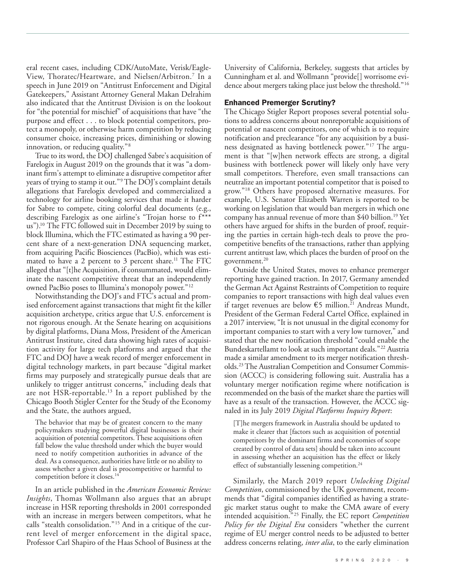eral recent cases, including CDK/AutoMate, Verisk/Eagle-View, Thoratec/Heartware, and Nielsen/Arbitron. <sup>7</sup> In a speech in June 2019 on "Antitrust Enforcement and Digital Gatekeepers," Assistant Attorney General Makan Delrahim also indicated that the Antitrust Division is on the lookout for "the potential for mischief" of acquisitions that have "the purpose and effect . . . to block potential competitors, protect a monopoly, or otherwise harm competition by reducing consumer choice, increasing prices, diminishing or slowing innovation, or reducing quality."8

True to its word, the DOJ challenged Sabre's acquisition of Farelogix in August 2019 on the grounds that it was "a dominant firm's attempt to eliminate a disruptive competitor after years of trying to stamp it out."9The DOJ's complaint details allegations that Farelogix developed and commercialized a technology for airline booking services that made it harder for Sabre to compete, citing colorful deal documents (e.g., describing Farelogix as one airline's "Trojan horse to f\*\*\* us"). <sup>10</sup> The FTC followed suit in December 2019 by suing to block Illumina, which the FTC estimated as having a 90 percent share of a next-generation DNA sequencing market, from acquiring Pacific Biosciences (PacBio), which was estimated to have a 2 percent to 3 percent share.<sup>11</sup> The FTC alleged that "[t]he Acquisition, if consummated, would eliminate the nascent competitive threat that an independently owned PacBio poses to Illumina's monopoly power."<sup>12</sup>

Notwithstanding the DOJ's and FTC's actual and promised enforcement against transactions that might fit the killer acquisition archetype, critics argue that U.S. enforcement is not rigorous enough. At the Senate hearing on acquisitions by digital platforms, Diana Moss, President of the American Antitrust Institute, cited data showing high rates of acquisition activity for large tech platforms and argued that the FTC and DOJ have a weak record of merger enforcement in digital technology markets, in part because "digital market firms may purposely and strategically pursue deals that are unlikely to trigger antitrust concerns," including deals that are not HSR-reportable. <sup>13</sup> In a report published by the Chicago Booth Stigler Center for the Study of the Economy and the State, the authors argued,

The behavior that may be of greatest concern to the many policymakers studying powerful digital businesses is their acquisition of potential competitors.These acquisitions often fall below the value threshold under which the buyer would need to notify competition authorities in advance of the deal. As a consequence, authorities have little or no ability to assess whether a given deal is procompetitive or harmful to competition before it closes. 14

In an article published in the *American Economic Review: Insights*, Thomas Wollmann also argues that an abrupt increase in HSR reporting thresholds in 2001 corresponded with an increase in mergers between competitors, what he calls "stealth consolidation."15 And in a critique of the current level of merger enforcement in the digital space, Professor Carl Shapiro of the Haas School of Business at the University of California, Berkeley, suggests that articles by Cunningham et al. and Wollmann "provide[] worrisome evidence about mergers taking place just below the threshold."16

### **Enhanced Premerger Scrutiny?**

The Chicago Stigler Report proposes several potential solutions to address concerns about nonreportable acquisitions of potential or nascent competitors, one of which is to require notification and preclearance "for any acquisition by a business designated as having bottleneck power."17 The argument is that "[w]hen network effects are strong, a digital business with bottleneck power will likely only have very small competitors. Therefore, even small transactions can neutralize an important potential competitor that is poised to grow."18 Others have proposed alternative measures. For example, U.S. Senator Elizabeth Warren is reported to be working on legislation that would ban mergers in which one company has annual revenue of more than \$40 billion. <sup>19</sup> Yet others have argued for shifts in the burden of proof, requiring the parties in certain high-tech deals to prove the procompetitive benefits of the transactions, rather than applying current antitrust law, which places the burden of proof on the government. 20

Outside the United States, moves to enhance premerger reporting have gained traction. In 2017, Germany amended the German Act Against Restraints of Competition to require companies to report transactions with high deal values even if target revenues are below  $E$ 5 million.<sup>21</sup> Andreas Mundt, President of the German Federal Cartel Office, explained in a 2017 interview, "It is not unusual in the digital economy for important companies to start with a very low turnover," and stated that the new notification threshold "could enable the Bundeskartellamt to look at such important deals."22 Austria made a similar amendment to its merger notification thresholds. 23The Australian Competition and Consumer Commission (ACCC) is considering following suit. Australia has a voluntary merger notification regime where notification is recommended on the basis of the market share the parties will have as a result of the transaction. However, the ACCC signaled in its July 2019 *Digital Platforms Inquiry Report*:

[T]he mergers framework in Australia should be updated to make it clearer that [factors such as acquisition of potential competitors by the dominant firms and economies of scope created by control of data sets] should be taken into account in assessing whether an acquisition has the effect or likely effect of substantially lessening competition. 24

Similarly, the March 2019 report *Unlocking Digital Competition*, commissioned by the UK government, recommends that "digital companies identified as having a strategic market status ought to make the CMA aware of every intended acquisition."25 Finally, the EC report *Competition Policy for the Digital Era* considers "whether the current regime of EU merger control needs to be adjusted to better address concerns relating, *inter alia*, to the early elimination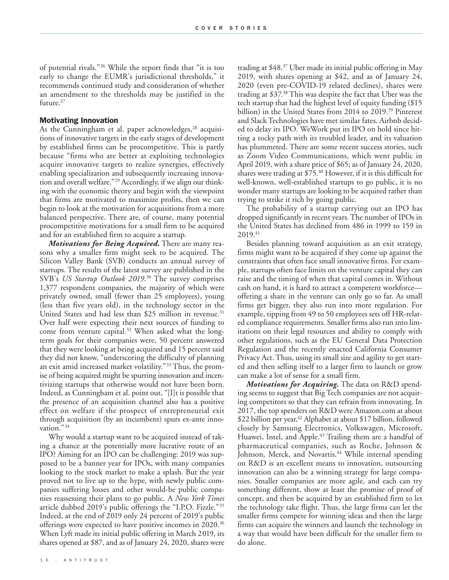of potential rivals."26 While the report finds that "it is too early to change the EUMR's jurisdictional thresholds," it recommends continued study and consideration of whether an amendment to the thresholds may be justified in the future. 27

#### **Motivating Innovation**

As the Cunningham et al. paper acknowledges, <sup>28</sup> acquisitions of innovative targets in the early stages of development by established firms can be procompetitive. This is partly because "firms who are better at exploiting technologies acquire innovative targets to realize synergies, effectively enabling specialization and subsequently increasing innovation and overall welfare."29 Accordingly, if we align our thinking with the economic theory and begin with the viewpoint that firms are motivated to maximize profits, then we can begin to look at the motivation for acquisitions from a more balanced perspective. There are, of course, many potential procompetitive motivations for a small firm to be acquired and for an established firm to acquire a startup.

*Motivations for Being Acquired.* There are many reasons why a smaller firm might seek to be acquired. The Silicon Valley Bank (SVB) conducts an annual survey of startups. The results of the latest survey are published in the SVB's *US Startup Outlook 2019*. <sup>30</sup> The survey comprises 1,377 respondent companies, the majority of which were privately owned, small (fewer than 25 employees), young (less than five years old), in the technology sector in the United States and had less than \$25 million in revenue. 31 Over half were expecting their next sources of funding to come from venture capital. <sup>32</sup> When asked what the longterm goals for their companies were, 50 percent answered that they were looking at being acquired and 15 percent said they did not know, "underscoring the difficulty of planning an exit amid increased market volatility."33 Thus, the promise of being acquired might be spurring innovation and incentivizing startups that otherwise would not have been born. Indeed, as Cunningham et al. point out, "[I]t is possible that the presence of an acquisition channel also has a positive effect on welfare if the prospect of entrepreneurial exit through acquisition (by an incumbent) spurs ex-ante innovation."34

Why would a startup want to be acquired instead of taking a chance at the potentially more lucrative route of an IPO? Aiming for an IPO can be challenging: 2019 was supposed to be a banner year for IPOs, with many companies looking to the stock market to make a splash. But the year proved not to live up to the hype, with newly public companies suffering losses and other would-be public companies reassessing their plans to go public. A *New York Times* article dubbed 2019's public offerings the "I.P.O. Fizzle."<sup>35</sup> Indeed, at the end of 2019 only 24 percent of 2019's public offerings were expected to have positive incomes in 2020. 36 When Lyft made its initial public offering in March 2019, its shares opened at \$87, and as of January 24, 2020, shares were

trading at \$48. <sup>37</sup> Uber made its initial public offering in May 2019, with shares opening at \$42, and as of January 24, 2020 (even pre-COVID-19 related declines), shares were trading at \$37.38 This was despite the fact that Uber was the tech startup that had the highest level of equity funding (\$15 billion) in the United States from 2014 to 2019. <sup>39</sup> Pinterest and SlackTechnologies have met similar fates. Airbnb decided to delay its IPO. WeWork put its IPO on hold since hitting a rocky path with its troubled leader, and its valuation has plummeted. There are some recent success stories, such as Zoom Video Communications, which went public in April 2019, with a share price of \$65; as of January 24, 2020, shares were trading at \$75. <sup>40</sup> However, if it is this difficult for well-known, well-established startups to go public, it is no wonder many startups are looking to be acquired rather than trying to strike it rich by going public.

The probability of a startup carrying out an IPO has dropped significantly in recent years.The number of IPOs in the United States has declined from 486 in 1999 to 159 in 2019. 41

Besides planning toward acquisition as an exit strategy, firms might want to be acquired if they come up against the constraints that often face small innovative firms. For example, startups often face limits on the venture capital they can raise and the timing of when that capital comes in. Without cash on hand, it is hard to attract a competent workforce offering a share in the venture can only go so far. As small firms get bigger, they also run into more regulation. For example, tipping from 49 to 50 employees sets off HR-related compliance requirements. Smaller firms also run into limitations on their legal resources and ability to comply with other regulations, such as the EU General Data Protection Regulation and the recently enacted California Consumer Privacy Act. Thus, using its small size and agility to get started and then selling itself to a larger firm to launch or grow can make a lot of sense for a small firm.

*Motivations for Acquiring.* The data on R&D spending seems to suggest that Big Tech companies are not acquiring competitors so that they can refrain from innovating. In 2017, the top spenders on R&D were Amazon.com at about \$22 billion per year, <sup>42</sup> Alphabet at about \$17 billion, followed closely by Samsung Electronics, Volkswagen, Microsoft, Huawei, Intel, and Apple. <sup>43</sup> Trailing them are a handful of pharmaceutical companies, such as Roche, Johnson & Johnson, Merck, and Novartis. <sup>44</sup> While internal spending on R&D is an excellent means to innovation, outsourcing innovation can also be a winning strategy for large companies. Smaller companies are more agile, and each can try something different, show at least the promise of proof of concept, and then be acquired by an established firm to let the technology take flight. Thus, the large firms can let the smaller firms compete for winning ideas and then the large firms can acquire the winners and launch the technology in a way that would have been difficult for the smaller firm to do alone.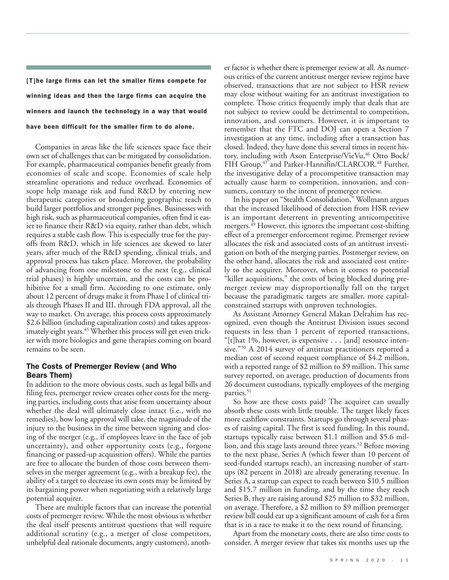**[T]he large firms can let the smaller firms compete for winning ideas and then the large firms can acquire the winners and launch the technology in a way that would have been difficult for the smaller firm to do alone.**

Companies in areas like the life sciences space face their own set of challenges that can be mitigated by consolidation. For example, pharmaceutical companies benefit greatly from economies of scale and scope. Economies of scale help streamline operations and reduce overhead. Economies of scope help manage risk and fund R&D by entering new therapeutic categories or broadening geographic reach to build larger portfolios and stronger pipelines. Businesses with high risk, such as pharmaceutical companies, often find it easier to finance their R&D via equity, rather than debt, which requires a stable cash flow. This is especially true for the payoffs from R&D, which in life sciences are skewed to later years, after much of the R&D spending, clinical trials, and approval process has taken place. Moreover, the probability of advancing from one milestone to the next (e.g., clinical trial phases) is highly uncertain, and the costs can be prohibitive for a small firm. According to one estimate, only about 12 percent of drugs make it from Phase I of clinical trials through Phases II and III, through FDA approval, all the way to market. On average, this process costs approximately \$2.6 billion (including capitalization costs) and takes approximately eight years. <sup>45</sup> Whether this process will get even trickier with more biologics and gene therapies coming on board remains to be seen.

## **The Costs of Premerger Review (and Who Bears Them)**

In addition to the more obvious costs, such as legal bills and filing fees, premerger review creates other costs for the merging parties, including costs that arise from uncertainty about whether the deal will ultimately close intact (i.e., with no remedies), how long approval will take, the magnitude of the injury to the business in the time between signing and closing of the merger (e.g., if employees leave in the face of job uncertainty), and other opportunity costs (e.g., forgone financing or passed-up acquisition offers). While the parties are free to allocate the burden of those costs between themselves in the merger agreement (e.g., with a breakup fee), the ability of a target to decrease its own costs may be limited by its bargaining power when negotiating with a relatively large potential acquirer.

There are multiple factors that can increase the potential costs of premerger review. While the most obvious is whether the deal itself presents antitrust questions that will require additional scrutiny (e.g., a merger of close competitors, unhelpful deal rationale documents, angry customers), another factor is whether there is premerger review at all. As numerous critics of the current antitrust merger review regime have observed, transactions that are not subject to HSR review may close without waiting for an antitrust investigation to complete. Those critics frequently imply that deals that are not subject to review could be detrimental to competition, innovation, and consumers. However, it is important to remember that the FTC and DOJ can open a Section 7 investigation at any time, including after a transaction has closed. Indeed, they have done this several times in recent history, including with Axon Enterprise/VieVu, <sup>46</sup> Otto Bock/ FIH Group, <sup>47</sup> and Parker-Hannifin/CLARCOR. <sup>48</sup> Further, the investigative delay of a procompetitive transaction may actually cause harm to competition, innovation, and consumers, contrary to the intent of premerger review.

In his paper on "Stealth Consolidation," Wollmann argues that the increased likelihood of detection from HSR review is an important deterrent in preventing anticompetitive mergers. <sup>49</sup> However, this ignores the important cost-shifting effect of a premerger enforcement regime. Premerger review allocates the risk and associated costs of an antitrust investigation on both of the merging parties. Postmerger review, on the other hand, allocates the risk and associated cost entirely to the acquirer. Moreover, when it comes to potential "killer acquisitions," the costs of being blocked during premerger review may disproportionally fall on the target because the paradigmatic targets are smaller, more capitalconstrained startups with unproven technologies.

As Assistant Attorney General Makan Delrahim has recognized, even though the Antitrust Division issues second requests in less than 1 percent of reported transactions, "[t]hat 1%, however, is expensive . . . [and] resource intensive."<sup>50</sup> A 2014 survey of antitrust practitioners reported a median cost of second request compliance of \$4.2 million, with a reported range of \$2 million to \$9 million. This same survey reported, on average, production of documents from 26 document custodians, typically employees of the merging parties. 51

So how are these costs paid? The acquirer can usually absorb these costs with little trouble. The target likely faces more cashflow constraints. Startups go through several phases of raising capital. The first is seed funding. In this round, startups typically raise between \$1.1 million and \$5.6 million, and this stage lasts around three years. <sup>52</sup> Before moving to the next phase, Series A (which fewer than 10 percent of seed-funded startups reach), an increasing number of startups (82 percent in 2018) are already generating revenue. In Series A, a startup can expect to reach between \$10.5 million and \$15.7 million in funding, and by the time they reach Series B, they are raising around \$25 million to \$32 million, on average. Therefore, a \$2 million to \$9 million premerger review bill could eat up a significant amount of cash for a firm that is in a race to make it to the next round of financing.

Apart from the monetary costs, there are also time costs to consider. A merger review that takes six months uses up the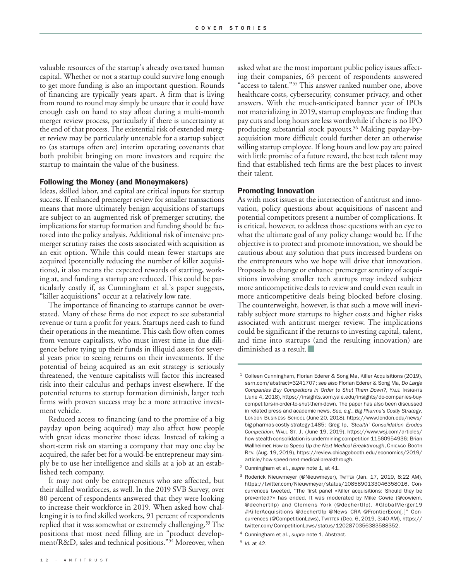valuable resources of the startup's already overtaxed human capital. Whether or not a startup could survive long enough to get more funding is also an important question. Rounds of financing are typically years apart. A firm that is living from round to round may simply be unsure that it could have enough cash on hand to stay afloat during a multi-month merger review process, particularly if there is uncertainty at the end of that process.The existential risk of extended merger review may be particularly untenable for a startup subject to (as startups often are) interim operating covenants that both prohibit bringing on more investors and require the startup to maintain the value of the business.

#### **Following the Money (and Moneymakers)**

Ideas, skilled labor, and capital are critical inputs for startup success. If enhanced premerger review for smaller transactions means that more ultimately benign acquisitions of startups are subject to an augmented risk of premerger scrutiny, the implications for startup formation and funding should be factored into the policy analysis. Additional risk of intensive premerger scrutiny raises the costs associated with acquisition as an exit option. While this could mean fewer startups are acquired (potentially reducing the number of killer acquisitions), it also means the expected rewards of starting, working at, and funding a startup are reduced. This could be particularly costly if, as Cunningham et al.'s paper suggests, "killer acquisitions" occur at a relatively low rate.

The importance of financing to startups cannot be overstated. Many of these firms do not expect to see substantial revenue or turn a profit for years. Startups need cash to fund their operations in the meantime.This cash flow often comes from venture capitalists, who must invest time in due diligence before tying up their funds in illiquid assets for several years prior to seeing returns on their investments. If the potential of being acquired as an exit strategy is seriously threatened, the venture capitalists will factor this increased risk into their calculus and perhaps invest elsewhere. If the potential returns to startup formation diminish, larger tech firms with proven success may be a more attractive investment vehicle.

Reduced access to financing (and to the promise of a big payday upon being acquired) may also affect how people with great ideas monetize those ideas. Instead of taking a short-term risk on starting a company that may one day be acquired, the safer bet for a would-be entrepreneur may simply be to use her intelligence and skills at a job at an established tech company.

It may not only be entrepreneurs who are affected, but their skilled workforces, as well. In the 2019 SVB Survey, over 80 percent of respondents answered that they were looking to increase their workforce in 2019. When asked how challenging it is to find skilled workers, 91 percent of respondents replied that it was somewhat or extremely challenging. <sup>53</sup> The positions that most need filling are in "product development/R&D, sales and technical positions."54 Moreover, when

asked what are the most important public policy issues affecting their companies, 63 percent of respondents answered "access to talent."55 This answer ranked number one, above healthcare costs, cybersecurity, consumer privacy, and other answers. With the much-anticipated banner year of IPOs not materializing in 2019, startup employees are finding that pay cuts and long hours are less worthwhile if there is no IPO producing substantial stock payouts. <sup>56</sup> Making payday-byacquisition more difficult could further deter an otherwise willing startup employee. If long hours and low pay are paired with little promise of a future reward, the best tech talent may find that established tech firms are the best places to invest their talent.

#### **Promoting Innovation**

As with most issues at the intersection of antitrust and innovation, policy questions about acquisitions of nascent and potential competitors present a number of complications. It is critical, however, to address those questions with an eye to what the ultimate goal of any policy change would be. If the objective is to protect and promote innovation, we should be cautious about any solution that puts increased burdens on the entrepreneurs who we hope will drive that innovation. Proposals to change or enhance premerger scrutiny of acquisitions involving smaller tech startups may indeed subject more anticompetitive deals to review and could even result in more anticompetitive deals being blocked before closing. The counterweight, however, is that such a move will inevitably subject more startups to higher costs and higher risks associated with antitrust merger review. The implications could be significant if the returns to investing capital, talent, and time into startups (and the resulting innovation) are diminished as a result.

- <sup>2</sup> Cunningham et al., *supra* note 1, at 41.
- <sup>3</sup> Roderick Nieuwmeyer (@Nieuwmeyer), Twrrter (Jan. 17, 2019, 8:22 AM), https://twitter.com/Nieuwmeyer/status/1085890133046358016. Concurrences tweeted, "The first panel «Killer acquisitions: Should they be prevented?» has ended. It was moderated by Mike Cowie (@cowiem, @dechertllp) and Clemens York (@dechertllp). #GlobalMerger19 #KillerAcquisitions @dechertllp @News\_CRA @FrontierEcon[.]" Concurrences (@CompetitionLaws), TWITTER (Dec. 6, 2019, 3:40 AM), https:// twitter.com/CompetitionLaws/status/1202870356383588352.

 $1$  Colleen Cunningham, Florian Ederer & Song Ma, Killer Acquisitions (2019), ssrn.com/abstract=3241707; *see also* Florian Ederer & Song Ma, *Do Large Companies Buy Competitors in Order to Shut Them Down?*, YALE INSIGHTS (June 4, 2018), https://insights.som.yale.edu/insights/do-companies-buycompetitors-in-order-to-shut-them-down. The paper has also been discussed in related press and academic news. *See, e.g.*, *Big Pharma's Costly Strategy*, LONDON BUSINESS SCHOOL (June 20, 2018), https://www.london.edu/news/ big-pharmas-costly-strategy-1485; Greg Ip, *'Stealth' Consolidation Erodes Competition*, WALL ST. J. (June 19, 2019), https://www.wsj.com/articles/ how-stealth-consolidation-is-undermining-competition-11560954936; Brian Wallheimer, *How to Speed Up the Next Medical Breakthrough*, CHICAGO BOOTH REV. (Aug. 19, 2019), https://review.chicagobooth.edu/economics/2019/ article/how-speed-next-medical-breakthrough.

<sup>4</sup> Cunningham et al., *supra* note 1, Abstract.

<sup>5</sup> *Id.* at 42.